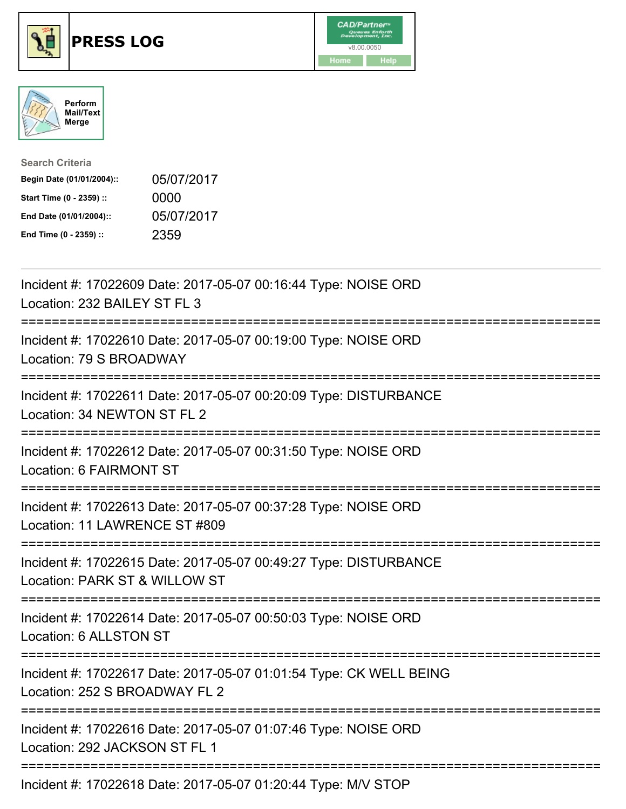





| <b>Search Criteria</b>    |            |
|---------------------------|------------|
| Begin Date (01/01/2004):: | 05/07/2017 |
| Start Time (0 - 2359) ::  | 0000       |
| End Date (01/01/2004)::   | 05/07/2017 |
| End Time (0 - 2359) ::    | 2359       |

| Incident #: 17022609 Date: 2017-05-07 00:16:44 Type: NOISE ORD<br>Location: 232 BAILEY ST FL 3                                  |
|---------------------------------------------------------------------------------------------------------------------------------|
| Incident #: 17022610 Date: 2017-05-07 00:19:00 Type: NOISE ORD<br>Location: 79 S BROADWAY<br>--------------------               |
| Incident #: 17022611 Date: 2017-05-07 00:20:09 Type: DISTURBANCE<br>Location: 34 NEWTON ST FL 2                                 |
| Incident #: 17022612 Date: 2017-05-07 00:31:50 Type: NOISE ORD<br>Location: 6 FAIRMONT ST                                       |
| Incident #: 17022613 Date: 2017-05-07 00:37:28 Type: NOISE ORD<br>Location: 11 LAWRENCE ST #809<br>---------------              |
| Incident #: 17022615 Date: 2017-05-07 00:49:27 Type: DISTURBANCE<br>Location: PARK ST & WILLOW ST                               |
| Incident #: 17022614 Date: 2017-05-07 00:50:03 Type: NOISE ORD<br>Location: 6 ALLSTON ST                                        |
| Incident #: 17022617 Date: 2017-05-07 01:01:54 Type: CK WELL BEING<br>Location: 252 S BROADWAY FL 2<br>======================== |
| Incident #: 17022616 Date: 2017-05-07 01:07:46 Type: NOISE ORD<br>Location: 292 JACKSON ST FL 1                                 |
| Incident #: 17022618 Date: 2017-05-07 01:20:44 Type: M/V STOP                                                                   |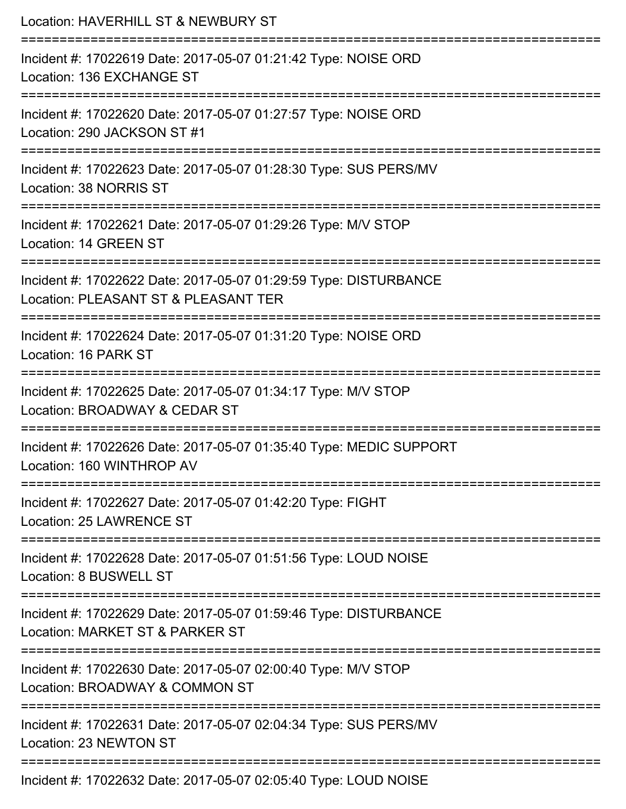| Location: HAVERHILL ST & NEWBURY ST                                                                                               |
|-----------------------------------------------------------------------------------------------------------------------------------|
| Incident #: 17022619 Date: 2017-05-07 01:21:42 Type: NOISE ORD<br>Location: 136 EXCHANGE ST                                       |
| Incident #: 17022620 Date: 2017-05-07 01:27:57 Type: NOISE ORD<br>Location: 290 JACKSON ST #1                                     |
| Incident #: 17022623 Date: 2017-05-07 01:28:30 Type: SUS PERS/MV<br>Location: 38 NORRIS ST                                        |
| Incident #: 17022621 Date: 2017-05-07 01:29:26 Type: M/V STOP<br>Location: 14 GREEN ST                                            |
| Incident #: 17022622 Date: 2017-05-07 01:29:59 Type: DISTURBANCE<br>Location: PLEASANT ST & PLEASANT TER<br>:==================== |
| Incident #: 17022624 Date: 2017-05-07 01:31:20 Type: NOISE ORD<br>Location: 16 PARK ST<br>-------------------                     |
| Incident #: 17022625 Date: 2017-05-07 01:34:17 Type: M/V STOP<br>Location: BROADWAY & CEDAR ST                                    |
| Incident #: 17022626 Date: 2017-05-07 01:35:40 Type: MEDIC SUPPORT<br>Location: 160 WINTHROP AV                                   |
| Incident #: 17022627 Date: 2017-05-07 01:42:20 Type: FIGHT<br>Location: 25 LAWRENCE ST                                            |
| Incident #: 17022628 Date: 2017-05-07 01:51:56 Type: LOUD NOISE<br>Location: 8 BUSWELL ST                                         |
| Incident #: 17022629 Date: 2017-05-07 01:59:46 Type: DISTURBANCE<br>Location: MARKET ST & PARKER ST                               |
| Incident #: 17022630 Date: 2017-05-07 02:00:40 Type: M/V STOP<br>Location: BROADWAY & COMMON ST                                   |
| Incident #: 17022631 Date: 2017-05-07 02:04:34 Type: SUS PERS/MV<br>Location: 23 NEWTON ST                                        |
| Incident #: 17022632 Date: 2017-05-07 02:05:40 Type: LOUD NOISE                                                                   |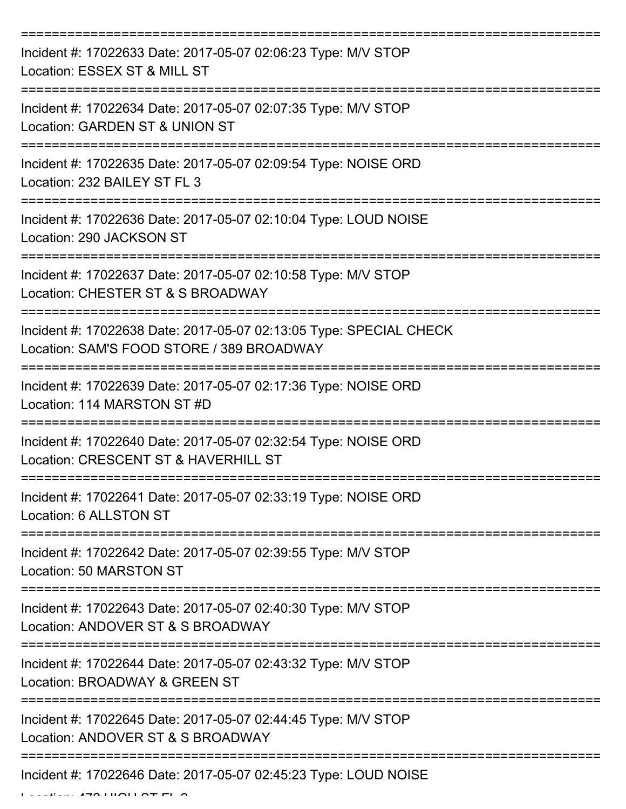| Incident #: 17022633 Date: 2017-05-07 02:06:23 Type: M/V STOP<br>Location: ESSEX ST & MILL ST                   |
|-----------------------------------------------------------------------------------------------------------------|
| Incident #: 17022634 Date: 2017-05-07 02:07:35 Type: M/V STOP<br>Location: GARDEN ST & UNION ST                 |
| Incident #: 17022635 Date: 2017-05-07 02:09:54 Type: NOISE ORD<br>Location: 232 BAILEY ST FL 3                  |
| Incident #: 17022636 Date: 2017-05-07 02:10:04 Type: LOUD NOISE<br>Location: 290 JACKSON ST                     |
| Incident #: 17022637 Date: 2017-05-07 02:10:58 Type: M/V STOP<br>Location: CHESTER ST & S BROADWAY              |
| Incident #: 17022638 Date: 2017-05-07 02:13:05 Type: SPECIAL CHECK<br>Location: SAM'S FOOD STORE / 389 BROADWAY |
| Incident #: 17022639 Date: 2017-05-07 02:17:36 Type: NOISE ORD<br>Location: 114 MARSTON ST #D                   |
| Incident #: 17022640 Date: 2017-05-07 02:32:54 Type: NOISE ORD<br>Location: CRESCENT ST & HAVERHILL ST          |
| Incident #: 17022641 Date: 2017-05-07 02:33:19 Type: NOISE ORD<br>Location: 6 ALLSTON ST                        |
| Incident #: 17022642 Date: 2017-05-07 02:39:55 Type: M/V STOP<br>Location: 50 MARSTON ST                        |
| Incident #: 17022643 Date: 2017-05-07 02:40:30 Type: M/V STOP<br>Location: ANDOVER ST & S BROADWAY              |
| Incident #: 17022644 Date: 2017-05-07 02:43:32 Type: M/V STOP<br>Location: BROADWAY & GREEN ST                  |
| Incident #: 17022645 Date: 2017-05-07 02:44:45 Type: M/V STOP<br>Location: ANDOVER ST & S BROADWAY              |
| Incident #: 17022646 Date: 2017-05-07 02:45:23 Type: LOUD NOISE                                                 |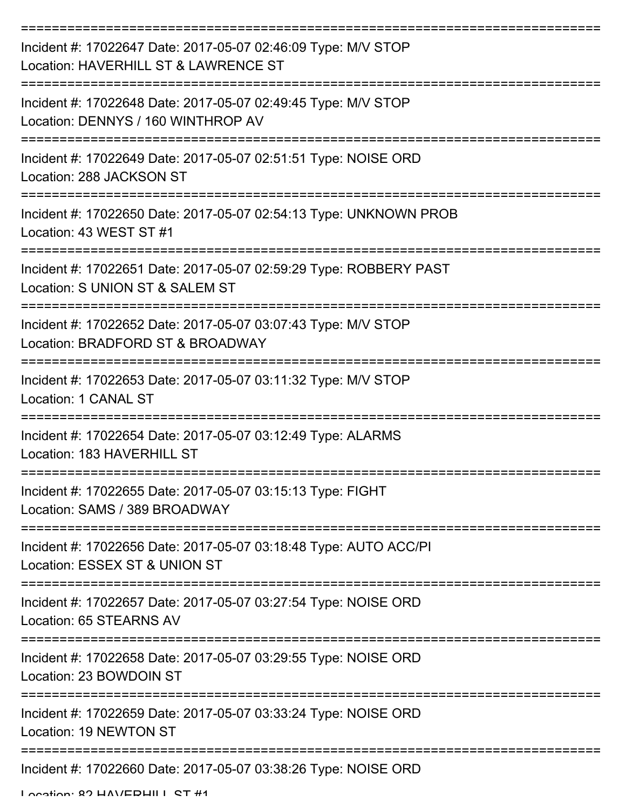| Incident #: 17022647 Date: 2017-05-07 02:46:09 Type: M/V STOP<br>Location: HAVERHILL ST & LAWRENCE ST                             |
|-----------------------------------------------------------------------------------------------------------------------------------|
| Incident #: 17022648 Date: 2017-05-07 02:49:45 Type: M/V STOP<br>Location: DENNYS / 160 WINTHROP AV                               |
| Incident #: 17022649 Date: 2017-05-07 02:51:51 Type: NOISE ORD<br>Location: 288 JACKSON ST                                        |
| Incident #: 17022650 Date: 2017-05-07 02:54:13 Type: UNKNOWN PROB<br>Location: 43 WEST ST #1                                      |
| Incident #: 17022651 Date: 2017-05-07 02:59:29 Type: ROBBERY PAST<br>Location: S UNION ST & SALEM ST                              |
| Incident #: 17022652 Date: 2017-05-07 03:07:43 Type: M/V STOP<br>Location: BRADFORD ST & BROADWAY                                 |
| Incident #: 17022653 Date: 2017-05-07 03:11:32 Type: M/V STOP<br>Location: 1 CANAL ST                                             |
| Incident #: 17022654 Date: 2017-05-07 03:12:49 Type: ALARMS<br>Location: 183 HAVERHILL ST                                         |
| Incident #: 17022655 Date: 2017-05-07 03:15:13 Type: FIGHT<br>Location: SAMS / 389 BROADWAY                                       |
| Incident #: 17022656 Date: 2017-05-07 03:18:48 Type: AUTO ACC/PI<br>Location: ESSEX ST & UNION ST                                 |
| Incident #: 17022657 Date: 2017-05-07 03:27:54 Type: NOISE ORD<br>Location: 65 STEARNS AV                                         |
| ====================================<br>Incident #: 17022658 Date: 2017-05-07 03:29:55 Type: NOISE ORD<br>Location: 23 BOWDOIN ST |
| Incident #: 17022659 Date: 2017-05-07 03:33:24 Type: NOISE ORD<br>Location: 19 NEWTON ST                                          |
| Incident #: 17022660 Date: 2017-05-07 03:38:26 Type: NOISE ORD                                                                    |

Location: 82 HAVERHILL ST #1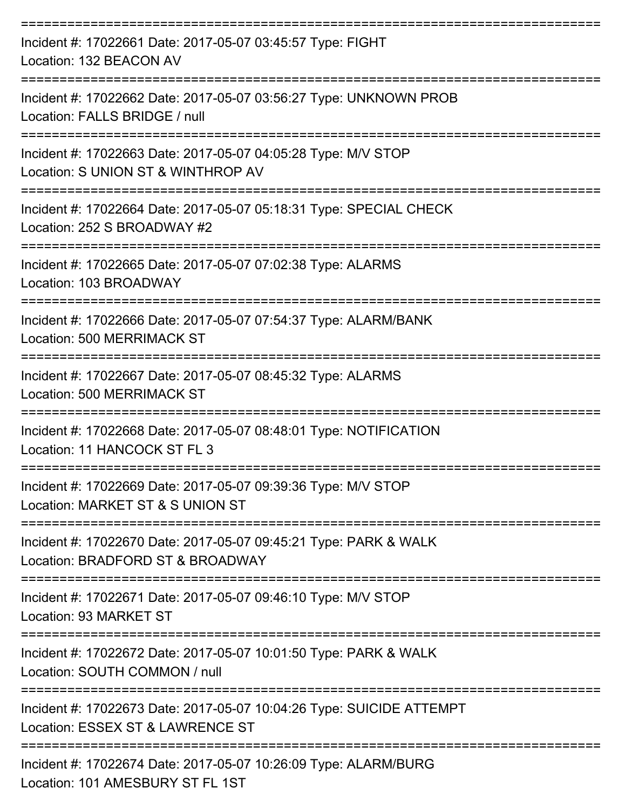| Incident #: 17022661 Date: 2017-05-07 03:45:57 Type: FIGHT<br>Location: 132 BEACON AV                                        |
|------------------------------------------------------------------------------------------------------------------------------|
| Incident #: 17022662 Date: 2017-05-07 03:56:27 Type: UNKNOWN PROB<br>Location: FALLS BRIDGE / null<br>====================== |
| Incident #: 17022663 Date: 2017-05-07 04:05:28 Type: M/V STOP<br>Location: S UNION ST & WINTHROP AV                          |
| Incident #: 17022664 Date: 2017-05-07 05:18:31 Type: SPECIAL CHECK<br>Location: 252 S BROADWAY #2                            |
| Incident #: 17022665 Date: 2017-05-07 07:02:38 Type: ALARMS<br>Location: 103 BROADWAY                                        |
| Incident #: 17022666 Date: 2017-05-07 07:54:37 Type: ALARM/BANK<br>Location: 500 MERRIMACK ST                                |
| Incident #: 17022667 Date: 2017-05-07 08:45:32 Type: ALARMS<br><b>Location: 500 MERRIMACK ST</b>                             |
| Incident #: 17022668 Date: 2017-05-07 08:48:01 Type: NOTIFICATION<br>Location: 11 HANCOCK ST FL 3                            |
| Incident #: 17022669 Date: 2017-05-07 09:39:36 Type: M/V STOP<br>Location: MARKET ST & S UNION ST                            |
| Incident #: 17022670 Date: 2017-05-07 09:45:21 Type: PARK & WALK<br>Location: BRADFORD ST & BROADWAY                         |
| Incident #: 17022671 Date: 2017-05-07 09:46:10 Type: M/V STOP<br>Location: 93 MARKET ST                                      |
| Incident #: 17022672 Date: 2017-05-07 10:01:50 Type: PARK & WALK<br>Location: SOUTH COMMON / null                            |
| Incident #: 17022673 Date: 2017-05-07 10:04:26 Type: SUICIDE ATTEMPT<br>Location: ESSEX ST & LAWRENCE ST                     |
| Incident #: 17022674 Date: 2017-05-07 10:26:09 Type: ALARM/BURG<br>Location: 101 AMESBURY ST FL 1ST                          |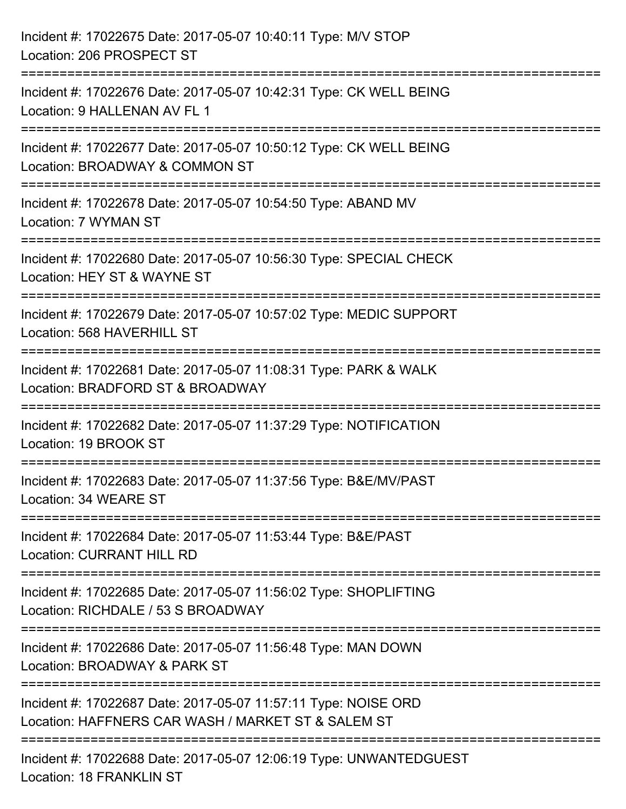| Incident #: 17022675 Date: 2017-05-07 10:40:11 Type: M/V STOP<br>Location: 206 PROSPECT ST                           |
|----------------------------------------------------------------------------------------------------------------------|
| Incident #: 17022676 Date: 2017-05-07 10:42:31 Type: CK WELL BEING<br>Location: 9 HALLENAN AV FL 1                   |
| Incident #: 17022677 Date: 2017-05-07 10:50:12 Type: CK WELL BEING<br>Location: BROADWAY & COMMON ST                 |
| Incident #: 17022678 Date: 2017-05-07 10:54:50 Type: ABAND MV<br>Location: 7 WYMAN ST                                |
| Incident #: 17022680 Date: 2017-05-07 10:56:30 Type: SPECIAL CHECK<br>Location: HEY ST & WAYNE ST                    |
| Incident #: 17022679 Date: 2017-05-07 10:57:02 Type: MEDIC SUPPORT<br>Location: 568 HAVERHILL ST                     |
| Incident #: 17022681 Date: 2017-05-07 11:08:31 Type: PARK & WALK<br>Location: BRADFORD ST & BROADWAY                 |
| Incident #: 17022682 Date: 2017-05-07 11:37:29 Type: NOTIFICATION<br>Location: 19 BROOK ST                           |
| Incident #: 17022683 Date: 2017-05-07 11:37:56 Type: B&E/MV/PAST<br>Location: 34 WEARE ST                            |
| Incident #: 17022684 Date: 2017-05-07 11:53:44 Type: B&E/PAST<br><b>Location: CURRANT HILL RD</b>                    |
| Incident #: 17022685 Date: 2017-05-07 11:56:02 Type: SHOPLIFTING<br>Location: RICHDALE / 53 S BROADWAY               |
| Incident #: 17022686 Date: 2017-05-07 11:56:48 Type: MAN DOWN<br>Location: BROADWAY & PARK ST                        |
| Incident #: 17022687 Date: 2017-05-07 11:57:11 Type: NOISE ORD<br>Location: HAFFNERS CAR WASH / MARKET ST & SALEM ST |
| Incident #: 17022688 Date: 2017-05-07 12:06:19 Type: UNWANTEDGUEST<br>Location: 18 FRANKLIN ST                       |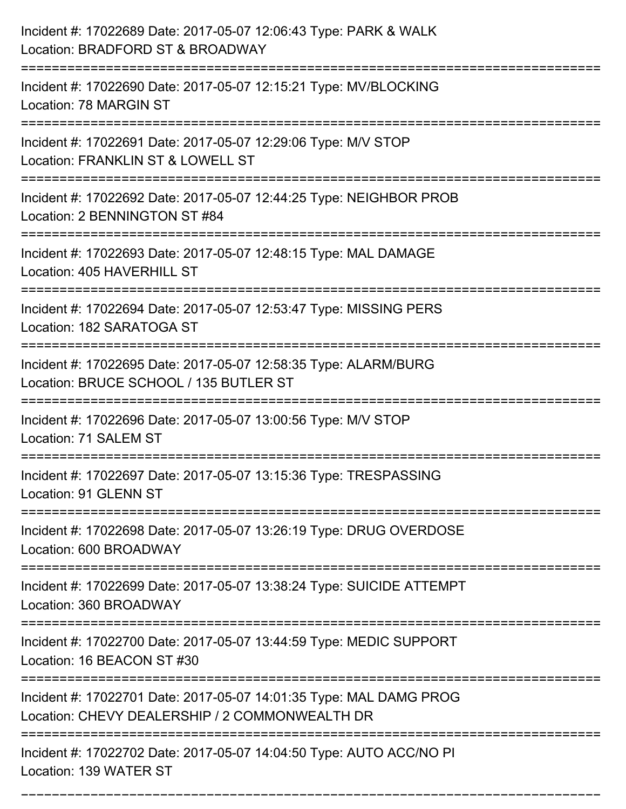| Incident #: 17022689 Date: 2017-05-07 12:06:43 Type: PARK & WALK<br>Location: BRADFORD ST & BROADWAY                             |
|----------------------------------------------------------------------------------------------------------------------------------|
| Incident #: 17022690 Date: 2017-05-07 12:15:21 Type: MV/BLOCKING<br>Location: 78 MARGIN ST                                       |
| Incident #: 17022691 Date: 2017-05-07 12:29:06 Type: M/V STOP<br>Location: FRANKLIN ST & LOWELL ST<br>:========================= |
| Incident #: 17022692 Date: 2017-05-07 12:44:25 Type: NEIGHBOR PROB<br>Location: 2 BENNINGTON ST #84                              |
| Incident #: 17022693 Date: 2017-05-07 12:48:15 Type: MAL DAMAGE<br>Location: 405 HAVERHILL ST                                    |
| Incident #: 17022694 Date: 2017-05-07 12:53:47 Type: MISSING PERS<br>Location: 182 SARATOGA ST                                   |
| Incident #: 17022695 Date: 2017-05-07 12:58:35 Type: ALARM/BURG<br>Location: BRUCE SCHOOL / 135 BUTLER ST                        |
| Incident #: 17022696 Date: 2017-05-07 13:00:56 Type: M/V STOP<br>Location: 71 SALEM ST                                           |
| Incident #: 17022697 Date: 2017-05-07 13:15:36 Type: TRESPASSING<br>Location: 91 GLENN ST                                        |
| Incident #: 17022698 Date: 2017-05-07 13:26:19 Type: DRUG OVERDOSE<br>Location: 600 BROADWAY<br>-------------------------------- |
| Incident #: 17022699 Date: 2017-05-07 13:38:24 Type: SUICIDE ATTEMPT<br>Location: 360 BROADWAY                                   |
| Incident #: 17022700 Date: 2017-05-07 13:44:59 Type: MEDIC SUPPORT<br>Location: 16 BEACON ST #30                                 |
| Incident #: 17022701 Date: 2017-05-07 14:01:35 Type: MAL DAMG PROG<br>Location: CHEVY DEALERSHIP / 2 COMMONWEALTH DR             |
| Incident #: 17022702 Date: 2017-05-07 14:04:50 Type: AUTO ACC/NO PI<br>Location: 139 WATER ST                                    |

===========================================================================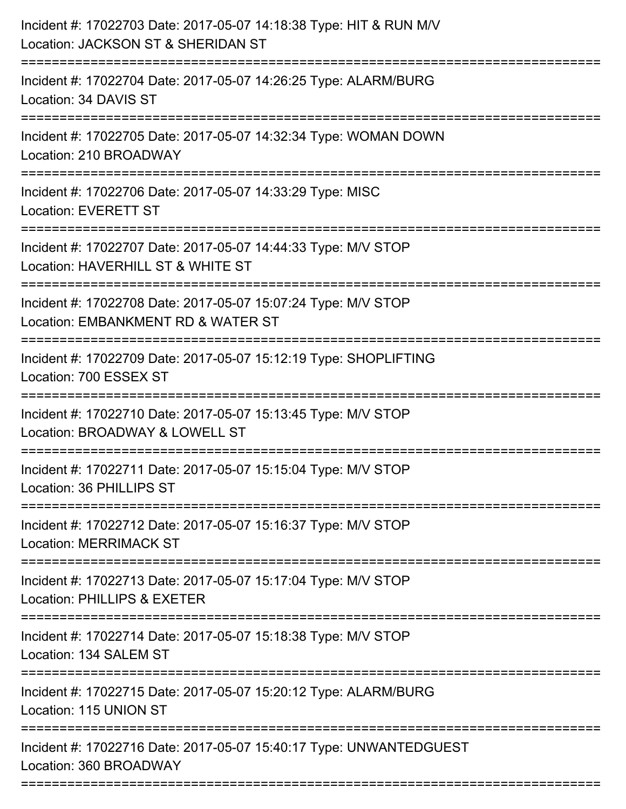| Incident #: 17022703 Date: 2017-05-07 14:18:38 Type: HIT & RUN M/V<br>Location: JACKSON ST & SHERIDAN ST             |
|----------------------------------------------------------------------------------------------------------------------|
| Incident #: 17022704 Date: 2017-05-07 14:26:25 Type: ALARM/BURG<br>Location: 34 DAVIS ST                             |
| Incident #: 17022705 Date: 2017-05-07 14:32:34 Type: WOMAN DOWN<br>Location: 210 BROADWAY<br>:=====================  |
| Incident #: 17022706 Date: 2017-05-07 14:33:29 Type: MISC<br><b>Location: EVERETT ST</b>                             |
| Incident #: 17022707 Date: 2017-05-07 14:44:33 Type: M/V STOP<br>Location: HAVERHILL ST & WHITE ST                   |
| Incident #: 17022708 Date: 2017-05-07 15:07:24 Type: M/V STOP<br>Location: EMBANKMENT RD & WATER ST                  |
| Incident #: 17022709 Date: 2017-05-07 15:12:19 Type: SHOPLIFTING<br>Location: 700 ESSEX ST                           |
| Incident #: 17022710 Date: 2017-05-07 15:13:45 Type: M/V STOP<br>Location: BROADWAY & LOWELL ST                      |
| Incident #: 17022711 Date: 2017-05-07 15:15:04 Type: M/V STOP<br>Location: 36 PHILLIPS ST                            |
| ==================<br>Incident #: 17022712 Date: 2017-05-07 15:16:37 Type: M/V STOP<br><b>Location: MERRIMACK ST</b> |
| Incident #: 17022713 Date: 2017-05-07 15:17:04 Type: M/V STOP<br>Location: PHILLIPS & EXETER                         |
| Incident #: 17022714 Date: 2017-05-07 15:18:38 Type: M/V STOP<br>Location: 134 SALEM ST                              |
| Incident #: 17022715 Date: 2017-05-07 15:20:12 Type: ALARM/BURG<br>Location: 115 UNION ST                            |
| Incident #: 17022716 Date: 2017-05-07 15:40:17 Type: UNWANTEDGUEST<br>Location: 360 BROADWAY                         |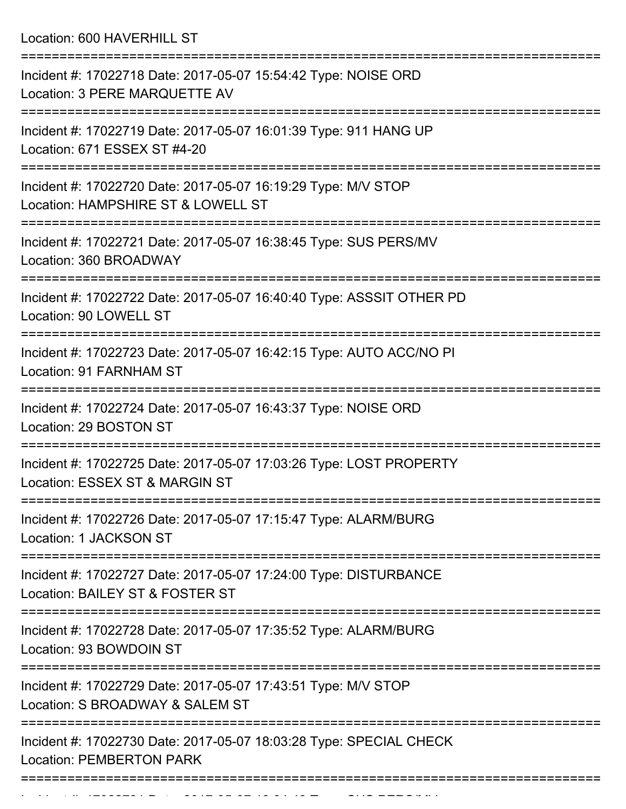Location: 600 HAVERHILL ST

| Incident #: 17022718 Date: 2017-05-07 15:54:42 Type: NOISE ORD<br>Location: 3 PERE MARQUETTE AV                            |
|----------------------------------------------------------------------------------------------------------------------------|
| Incident #: 17022719 Date: 2017-05-07 16:01:39 Type: 911 HANG UP<br>Location: 671 ESSEX ST #4-20                           |
| Incident #: 17022720 Date: 2017-05-07 16:19:29 Type: M/V STOP<br>Location: HAMPSHIRE ST & LOWELL ST                        |
| Incident #: 17022721 Date: 2017-05-07 16:38:45 Type: SUS PERS/MV<br>Location: 360 BROADWAY                                 |
| Incident #: 17022722 Date: 2017-05-07 16:40:40 Type: ASSSIT OTHER PD<br>Location: 90 LOWELL ST                             |
| Incident #: 17022723 Date: 2017-05-07 16:42:15 Type: AUTO ACC/NO PI<br>Location: 91 FARNHAM ST                             |
| Incident #: 17022724 Date: 2017-05-07 16:43:37 Type: NOISE ORD<br>Location: 29 BOSTON ST                                   |
| Incident #: 17022725 Date: 2017-05-07 17:03:26 Type: LOST PROPERTY<br>Location: ESSEX ST & MARGIN ST                       |
| Incident #: 17022726 Date: 2017-05-07 17:15:47 Type: ALARM/BURG<br>Location: 1 JACKSON ST                                  |
| ===================<br>Incident #: 17022727 Date: 2017-05-07 17:24:00 Type: DISTURBANCE<br>Location: BAILEY ST & FOSTER ST |
| Incident #: 17022728 Date: 2017-05-07 17:35:52 Type: ALARM/BURG<br>Location: 93 BOWDOIN ST                                 |
| Incident #: 17022729 Date: 2017-05-07 17:43:51 Type: M/V STOP<br>Location: S BROADWAY & SALEM ST                           |
| Incident #: 17022730 Date: 2017-05-07 18:03:28 Type: SPECIAL CHECK<br><b>Location: PEMBERTON PARK</b>                      |
|                                                                                                                            |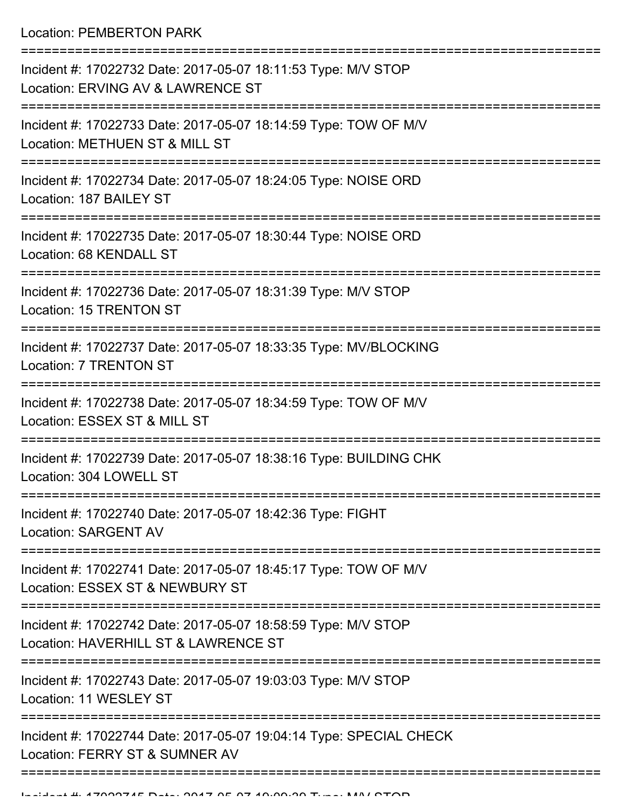Location: PEMBERTON PARK

| Incident #: 17022732 Date: 2017-05-07 18:11:53 Type: M/V STOP<br>Location: ERVING AV & LAWRENCE ST                    |
|-----------------------------------------------------------------------------------------------------------------------|
| Incident #: 17022733 Date: 2017-05-07 18:14:59 Type: TOW OF M/V<br>Location: METHUEN ST & MILL ST                     |
| Incident #: 17022734 Date: 2017-05-07 18:24:05 Type: NOISE ORD<br>Location: 187 BAILEY ST                             |
| Incident #: 17022735 Date: 2017-05-07 18:30:44 Type: NOISE ORD<br>Location: 68 KENDALL ST                             |
| Incident #: 17022736 Date: 2017-05-07 18:31:39 Type: M/V STOP<br><b>Location: 15 TRENTON ST</b>                       |
| Incident #: 17022737 Date: 2017-05-07 18:33:35 Type: MV/BLOCKING<br>Location: 7 TRENTON ST                            |
| Incident #: 17022738 Date: 2017-05-07 18:34:59 Type: TOW OF M/V<br>Location: ESSEX ST & MILL ST                       |
| Incident #: 17022739 Date: 2017-05-07 18:38:16 Type: BUILDING CHK<br>Location: 304 LOWELL ST                          |
| Incident #: 17022740 Date: 2017-05-07 18:42:36 Type: FIGHT<br><b>Location: SARGENT AV</b>                             |
| ---------------<br>Incident #: 17022741 Date: 2017-05-07 18:45:17 Type: TOW OF M/V<br>Location: ESSEX ST & NEWBURY ST |
| Incident #: 17022742 Date: 2017-05-07 18:58:59 Type: M/V STOP<br>Location: HAVERHILL ST & LAWRENCE ST                 |
| Incident #: 17022743 Date: 2017-05-07 19:03:03 Type: M/V STOP<br>Location: 11 WESLEY ST                               |
| Incident #: 17022744 Date: 2017-05-07 19:04:14 Type: SPECIAL CHECK<br>Location: FERRY ST & SUMNER AV                  |
|                                                                                                                       |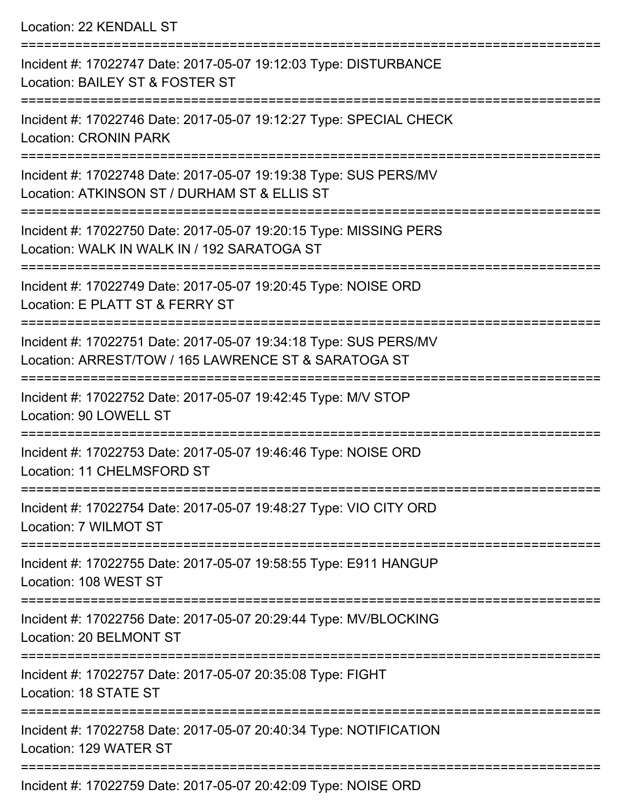Location: 22 KENDALL ST

| Incident #: 17022747 Date: 2017-05-07 19:12:03 Type: DISTURBANCE<br>Location: BAILEY ST & FOSTER ST                      |
|--------------------------------------------------------------------------------------------------------------------------|
| Incident #: 17022746 Date: 2017-05-07 19:12:27 Type: SPECIAL CHECK<br><b>Location: CRONIN PARK</b>                       |
| Incident #: 17022748 Date: 2017-05-07 19:19:38 Type: SUS PERS/MV<br>Location: ATKINSON ST / DURHAM ST & ELLIS ST         |
| Incident #: 17022750 Date: 2017-05-07 19:20:15 Type: MISSING PERS<br>Location: WALK IN WALK IN / 192 SARATOGA ST         |
| Incident #: 17022749 Date: 2017-05-07 19:20:45 Type: NOISE ORD<br>Location: E PLATT ST & FERRY ST                        |
| Incident #: 17022751 Date: 2017-05-07 19:34:18 Type: SUS PERS/MV<br>Location: ARREST/TOW / 165 LAWRENCE ST & SARATOGA ST |
| Incident #: 17022752 Date: 2017-05-07 19:42:45 Type: M/V STOP<br>Location: 90 LOWELL ST                                  |
| Incident #: 17022753 Date: 2017-05-07 19:46:46 Type: NOISE ORD<br>Location: 11 CHELMSFORD ST                             |
| Incident #: 17022754 Date: 2017-05-07 19:48:27 Type: VIO CITY ORD<br>Location: 7 WILMOT ST                               |
| Incident #: 17022755 Date: 2017-05-07 19:58:55 Type: E911 HANGUP<br>Location: 108 WEST ST                                |
| Incident #: 17022756 Date: 2017-05-07 20:29:44 Type: MV/BLOCKING<br>Location: 20 BELMONT ST                              |
| Incident #: 17022757 Date: 2017-05-07 20:35:08 Type: FIGHT<br>Location: 18 STATE ST                                      |
| Incident #: 17022758 Date: 2017-05-07 20:40:34 Type: NOTIFICATION<br>Location: 129 WATER ST                              |
|                                                                                                                          |

Incident #: 17022759 Date: 2017-05-07 20:42:09 Type: NOISE ORD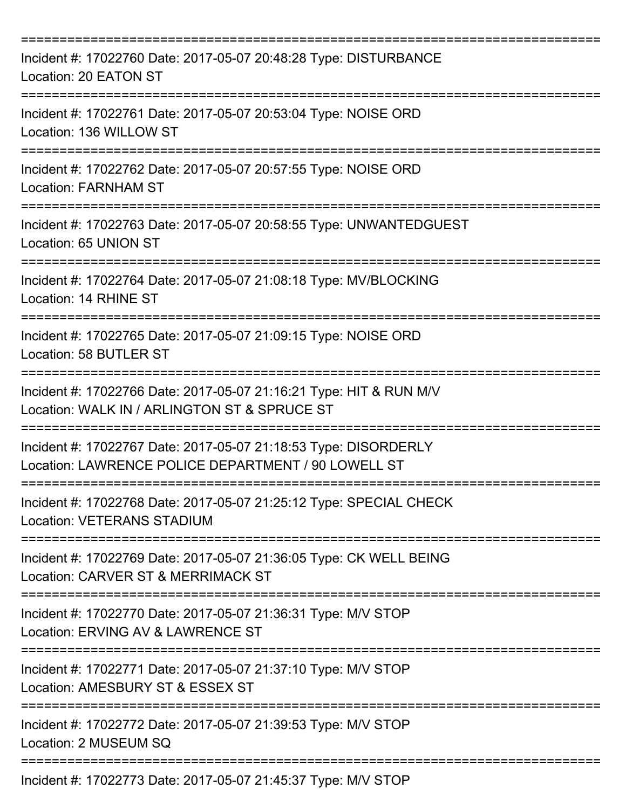| Incident #: 17022760 Date: 2017-05-07 20:48:28 Type: DISTURBANCE<br>Location: 20 EATON ST                              |
|------------------------------------------------------------------------------------------------------------------------|
| Incident #: 17022761 Date: 2017-05-07 20:53:04 Type: NOISE ORD<br>Location: 136 WILLOW ST                              |
| Incident #: 17022762 Date: 2017-05-07 20:57:55 Type: NOISE ORD<br><b>Location: FARNHAM ST</b>                          |
| Incident #: 17022763 Date: 2017-05-07 20:58:55 Type: UNWANTEDGUEST<br>Location: 65 UNION ST                            |
| Incident #: 17022764 Date: 2017-05-07 21:08:18 Type: MV/BLOCKING<br>Location: 14 RHINE ST                              |
| Incident #: 17022765 Date: 2017-05-07 21:09:15 Type: NOISE ORD<br>Location: 58 BUTLER ST                               |
| Incident #: 17022766 Date: 2017-05-07 21:16:21 Type: HIT & RUN M/V<br>Location: WALK IN / ARLINGTON ST & SPRUCE ST     |
| Incident #: 17022767 Date: 2017-05-07 21:18:53 Type: DISORDERLY<br>Location: LAWRENCE POLICE DEPARTMENT / 90 LOWELL ST |
| Incident #: 17022768 Date: 2017-05-07 21:25:12 Type: SPECIAL CHECK<br><b>Location: VETERANS STADIUM</b>                |
| Incident #: 17022769 Date: 2017-05-07 21:36:05 Type: CK WELL BEING<br>Location: CARVER ST & MERRIMACK ST               |
| Incident #: 17022770 Date: 2017-05-07 21:36:31 Type: M/V STOP<br>Location: ERVING AV & LAWRENCE ST                     |
| Incident #: 17022771 Date: 2017-05-07 21:37:10 Type: M/V STOP<br>Location: AMESBURY ST & ESSEX ST                      |
| Incident #: 17022772 Date: 2017-05-07 21:39:53 Type: M/V STOP<br>Location: 2 MUSEUM SQ                                 |
| Incident #: 17022773 Date: 2017-05-07 21:45:37 Type: M/V STOP                                                          |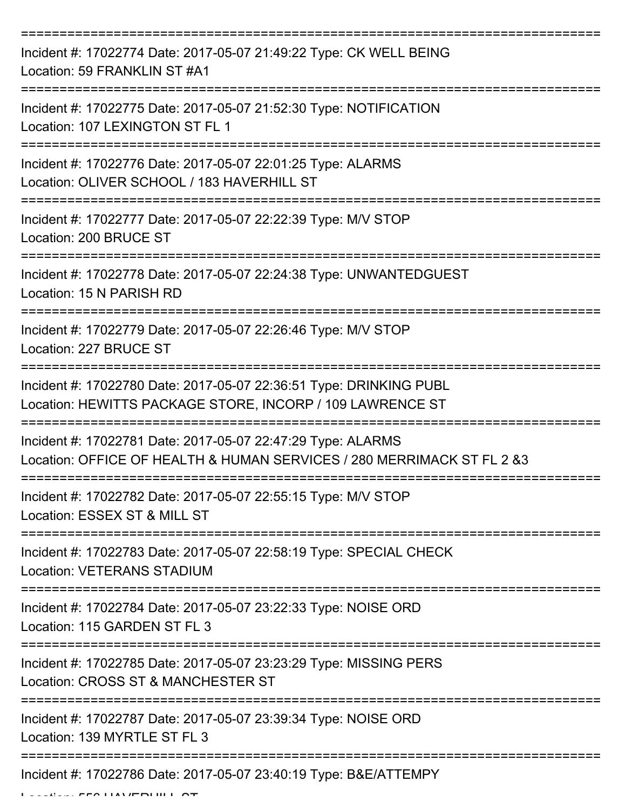| Incident #: 17022774 Date: 2017-05-07 21:49:22 Type: CK WELL BEING<br>Location: 59 FRANKLIN ST #A1                                     |
|----------------------------------------------------------------------------------------------------------------------------------------|
| Incident #: 17022775 Date: 2017-05-07 21:52:30 Type: NOTIFICATION<br>Location: 107 LEXINGTON ST FL 1                                   |
| Incident #: 17022776 Date: 2017-05-07 22:01:25 Type: ALARMS<br>Location: OLIVER SCHOOL / 183 HAVERHILL ST                              |
| Incident #: 17022777 Date: 2017-05-07 22:22:39 Type: M/V STOP<br>Location: 200 BRUCE ST                                                |
| Incident #: 17022778 Date: 2017-05-07 22:24:38 Type: UNWANTEDGUEST<br>Location: 15 N PARISH RD                                         |
| Incident #: 17022779 Date: 2017-05-07 22:26:46 Type: M/V STOP<br>Location: 227 BRUCE ST                                                |
| Incident #: 17022780 Date: 2017-05-07 22:36:51 Type: DRINKING PUBL<br>Location: HEWITTS PACKAGE STORE, INCORP / 109 LAWRENCE ST        |
| Incident #: 17022781 Date: 2017-05-07 22:47:29 Type: ALARMS<br>Location: OFFICE OF HEALTH & HUMAN SERVICES / 280 MERRIMACK ST FL 2 & 3 |
| Incident #: 17022782 Date: 2017-05-07 22:55:15 Type: M/V STOP<br>Location: ESSEX ST & MILL ST                                          |
| Incident #: 17022783 Date: 2017-05-07 22:58:19 Type: SPECIAL CHECK<br><b>Location: VETERANS STADIUM</b>                                |
| Incident #: 17022784 Date: 2017-05-07 23:22:33 Type: NOISE ORD<br>Location: 115 GARDEN ST FL 3                                         |
| Incident #: 17022785 Date: 2017-05-07 23:23:29 Type: MISSING PERS<br>Location: CROSS ST & MANCHESTER ST                                |
| Incident #: 17022787 Date: 2017-05-07 23:39:34 Type: NOISE ORD<br>Location: 139 MYRTLE ST FL 3                                         |
| Incident #: 17022786 Date: 2017-05-07 23:40:19 Type: B&E/ATTEMPY                                                                       |

Location: 556 HAVERHILL ST